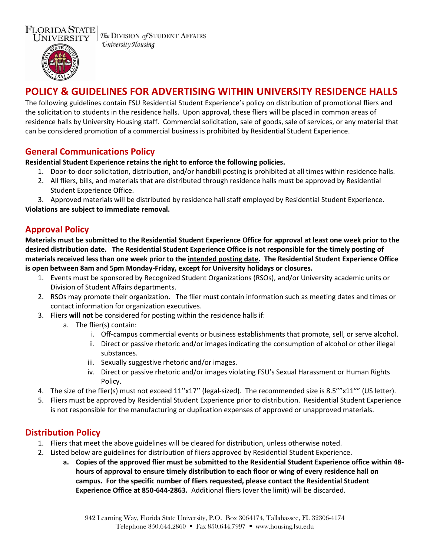

The DIVISION of STUDENT AFFAIRS University Housing



# **POLICY & GUIDELINES FOR ADVERTISING WITHIN UNIVERSITY RESIDENCE HALLS**

The following guidelines contain FSU Residential Student Experience's policy on distribution of promotional fliers and the solicitation to students in the residence halls. Upon approval, these fliers will be placed in common areas of residence halls by University Housing staff. Commercial solicitation, sale of goods, sale of services, or any material that can be considered promotion of a commercial business is prohibited by Residential Student Experience.

### **General Communications Policy**

#### **Residential Student Experience retains the right to enforce the following policies.**

- 1. Door-to-door solicitation, distribution, and/or handbill posting is prohibited at all times within residence halls.
- 2. All fliers, bills, and materials that are distributed through residence halls must be approved by Residential Student Experience Office.

3. Approved materials will be distributed by residence hall staff employed by Residential Student Experience. **Violations are subject to immediate removal.**

# **Approval Policy**

**Materials must be submitted to the Residential Student Experience Office for approval at least one week prior to the desired distribution date. The Residential Student Experience Office is not responsible for the timely posting of materials received less than one week prior to the intended posting date. The Residential Student Experience Office is open between 8am and 5pm Monday-Friday, except for University holidays or closures.**

- 1. Events must be sponsored by Recognized Student Organizations (RSOs), and/or University academic units or Division of Student Affairs departments.
- 2. RSOs may promote their organization. The flier must contain information such as meeting dates and times or contact information for organization executives.
- 3. Fliers **will not** be considered for posting within the residence halls if:
	- a. The flier(s) contain:
		- i. Off-campus commercial events or business establishments that promote, sell, or serve alcohol.
		- ii. Direct or passive rhetoric and/or images indicating the consumption of alcohol or other illegal substances.
		- iii. Sexually suggestive rhetoric and/or images.
		- iv. Direct or passive rhetoric and/or images violating FSU's Sexual Harassment or Human Rights Policy.
- 4. The size of the flier(s) must not exceed 11''x17'' (legal-sized). The recommended size is 8.5""x11"" (US letter).
- 5. Fliers must be approved by Residential Student Experience prior to distribution. Residential Student Experience is not responsible for the manufacturing or duplication expenses of approved or unapproved materials.

# **Distribution Policy**

- 1. Fliers that meet the above guidelines will be cleared for distribution, unless otherwise noted.
- 2. Listed below are guidelines for distribution of fliers approved by Residential Student Experience.
	- **a. Copies of the approved flier must be submitted to the Residential Student Experience office within 48 hours of approval to ensure timely distribution to each floor or wing of every residence hall on campus. For the specific number of fliers requested, please contact the Residential Student Experience Office at 850-644-2863.** Additional fliers (over the limit) will be discarded.